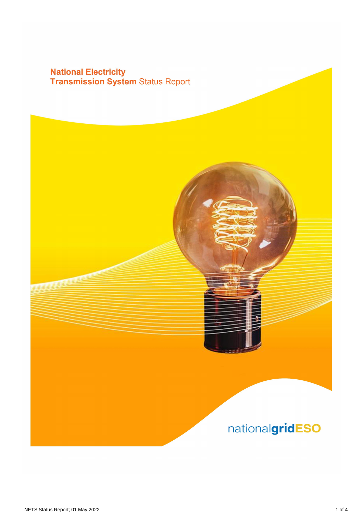# **National Electricity<br>Transmission System Status Report**

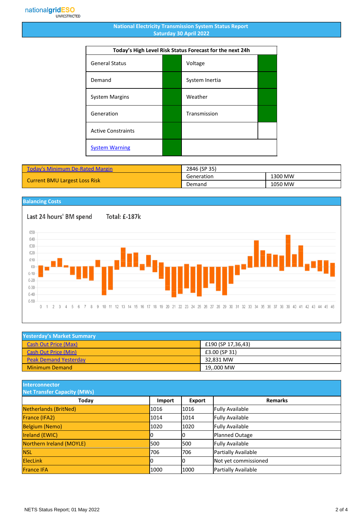### **National Electricity Transmission System Status Report Saturday 30 April 2022**

| Today's High Level Risk Status Forecast for the next 24h |  |                |  |
|----------------------------------------------------------|--|----------------|--|
| <b>General Status</b>                                    |  | Voltage        |  |
| Demand                                                   |  | System Inertia |  |
| <b>System Margins</b>                                    |  | Weather        |  |
| Generation                                               |  | Transmission   |  |
| <b>Active Constraints</b>                                |  |                |  |
| <b>System Warning</b>                                    |  |                |  |

| <b>Today's Minimum De-Rated Margin</b> | 2846 (SP 35) |         |
|----------------------------------------|--------------|---------|
| <b>Current BMU Largest Loss Risk</b>   | Generation   | 1300 MW |
|                                        | Demand       | 1050 MW |

## **Balancing Costs**

Last 24 hours' BM spend £50 £40 £30 £20 £10

Total: £-187k



| <b>Yesterday's Market Summary</b> |                    |  |
|-----------------------------------|--------------------|--|
| <b>Cash Out Price (Max)</b>       | £190 (SP 17,36,43) |  |
| Cash Out Price (Min)              | £3.00 (SP 31)      |  |
| <b>Peak Demand Yesterday</b>      | 32.831 MW          |  |
| <b>Minimum Demand</b>             | 19000 MW           |  |

**Interconnector**

| <b>Net Transfer Capacity (MWs)</b> |        |               |                        |
|------------------------------------|--------|---------------|------------------------|
| Today                              | Import | <b>Export</b> | <b>Remarks</b>         |
| Netherlands (BritNed)              | 1016   | 1016          | <b>Fully Available</b> |
| France (IFA2)                      | 1014   | 1014          | <b>Fully Available</b> |
| <b>Belgium (Nemo)</b>              | 1020   | 1020          | <b>Fully Available</b> |
| Ireland (EWIC)                     |        | 10            | <b>Planned Outage</b>  |
| Northern Ireland (MOYLE)           | 500    | 1500          | <b>Fully Available</b> |
| <b>NSL</b>                         | 706    | 706           | Partially Available    |
| <b>ElecLink</b>                    |        | IО            | Not yet commissioned   |
| <b>France IFA</b>                  | 1000   | 1000          | Partially Available    |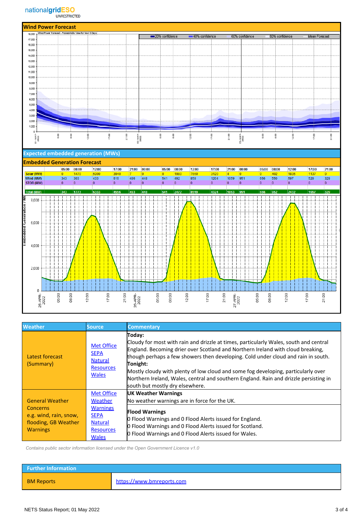

#### **Expected embedded generation (MWs)**



| <b>Weather</b>                                                                                                 | Source.                                                                                                              | <b>Commentary</b>                                                                                                                                                                                                                                                                                                                                                                                                                                                                                    |
|----------------------------------------------------------------------------------------------------------------|----------------------------------------------------------------------------------------------------------------------|------------------------------------------------------------------------------------------------------------------------------------------------------------------------------------------------------------------------------------------------------------------------------------------------------------------------------------------------------------------------------------------------------------------------------------------------------------------------------------------------------|
| Latest forecast<br>(Summary)                                                                                   | <b>Met Office</b><br><b>SEPA</b><br><b>Natural</b><br><b>Resources</b><br><b>Wales</b>                               | Today:<br>Cloudy for most with rain and drizzle at times, particularly Wales, south and central<br>England. Becoming drier over Scotland and Northern Ireland with cloud breaking,<br>though perhaps a few showers then developing. Cold under cloud and rain in south.<br>Tonight:<br>Mostly cloudy with plenty of low cloud and some fog developing, particularly over<br>Northern Ireland, Wales, central and southern England. Rain and drizzle persisting in<br>south but mostly dry elsewhere. |
| <b>General Weather</b><br><b>Concerns</b><br>e.g. wind, rain, snow,<br>flooding, GB Weather<br><b>Warnings</b> | <b>Met Office</b><br>Weather<br><b>Warnings</b><br><b>SEPA</b><br><b>Natural</b><br><b>Resources</b><br><b>Wales</b> | UK Weather Warnings<br>No weather warnings are in force for the UK.<br><b>Flood Warnings</b><br><b>O</b> Flood Warnings and O Flood Alerts issued for England.<br>O Flood Warnings and O Flood Alerts issued for Scotland.<br>O Flood Warnings and O Flood Alerts issued for Wales.                                                                                                                                                                                                                  |

 *Contains public sector information licensed under the Open Government Licence v1.0*

| <b>Further Information</b> |                           |
|----------------------------|---------------------------|
| <b>BM Reports</b>          | https://www.bmreports.com |